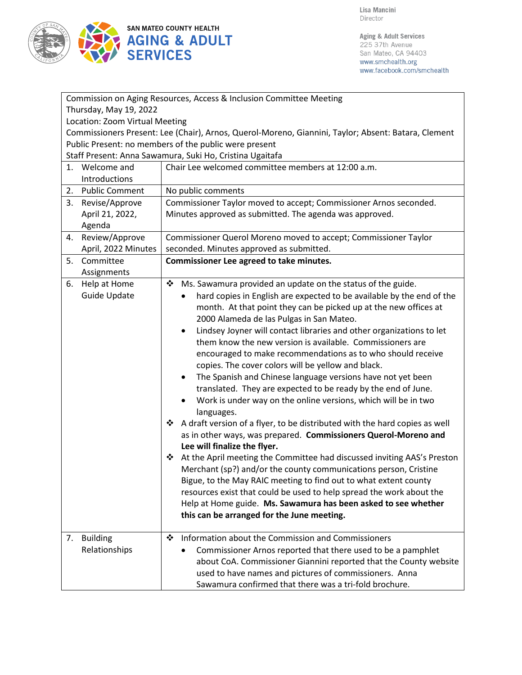

| Commission on Aging Resources, Access & Inclusion Committee Meeting                                 |                                                                                   |  |  |
|-----------------------------------------------------------------------------------------------------|-----------------------------------------------------------------------------------|--|--|
| Thursday, May 19, 2022                                                                              |                                                                                   |  |  |
| Location: Zoom Virtual Meeting                                                                      |                                                                                   |  |  |
| Commissioners Present: Lee (Chair), Arnos, Querol-Moreno, Giannini, Taylor; Absent: Batara, Clement |                                                                                   |  |  |
| Public Present: no members of the public were present                                               |                                                                                   |  |  |
| Staff Present: Anna Sawamura, Suki Ho, Cristina Ugaitafa                                            |                                                                                   |  |  |
| 1. Welcome and                                                                                      | Chair Lee welcomed committee members at 12:00 a.m.                                |  |  |
| Introductions                                                                                       |                                                                                   |  |  |
| 2. Public Comment                                                                                   | No public comments                                                                |  |  |
| 3. Revise/Approve                                                                                   | Commissioner Taylor moved to accept; Commissioner Arnos seconded.                 |  |  |
| April 21, 2022,                                                                                     | Minutes approved as submitted. The agenda was approved.                           |  |  |
| Agenda                                                                                              |                                                                                   |  |  |
| Review/Approve<br>4.                                                                                | Commissioner Querol Moreno moved to accept; Commissioner Taylor                   |  |  |
| April, 2022 Minutes                                                                                 | seconded. Minutes approved as submitted.                                          |  |  |
| Committee<br>5.                                                                                     | Commissioner Lee agreed to take minutes.                                          |  |  |
| Assignments                                                                                         |                                                                                   |  |  |
| Help at Home<br>6.                                                                                  | ❖<br>Ms. Sawamura provided an update on the status of the guide.                  |  |  |
| Guide Update                                                                                        | hard copies in English are expected to be available by the end of the             |  |  |
|                                                                                                     | month. At that point they can be picked up at the new offices at                  |  |  |
|                                                                                                     | 2000 Alameda de las Pulgas in San Mateo.                                          |  |  |
|                                                                                                     | Lindsey Joyner will contact libraries and other organizations to let<br>$\bullet$ |  |  |
|                                                                                                     | them know the new version is available. Commissioners are                         |  |  |
|                                                                                                     | encouraged to make recommendations as to who should receive                       |  |  |
|                                                                                                     | copies. The cover colors will be yellow and black.                                |  |  |
|                                                                                                     | The Spanish and Chinese language versions have not yet been<br>٠                  |  |  |
|                                                                                                     | translated. They are expected to be ready by the end of June.                     |  |  |
|                                                                                                     | Work is under way on the online versions, which will be in two<br>$\bullet$       |  |  |
|                                                                                                     | languages.                                                                        |  |  |
|                                                                                                     | ❖<br>A draft version of a flyer, to be distributed with the hard copies as well   |  |  |
|                                                                                                     | as in other ways, was prepared. Commissioners Querol-Moreno and                   |  |  |
|                                                                                                     | Lee will finalize the flyer.                                                      |  |  |
|                                                                                                     | At the April meeting the Committee had discussed inviting AAS's Preston<br>❖      |  |  |
|                                                                                                     | Merchant (sp?) and/or the county communications person, Cristine                  |  |  |
|                                                                                                     | Bigue, to the May RAIC meeting to find out to what extent county                  |  |  |
|                                                                                                     | resources exist that could be used to help spread the work about the              |  |  |
|                                                                                                     | Help at Home guide. Ms. Sawamura has been asked to see whether                    |  |  |
|                                                                                                     | this can be arranged for the June meeting.                                        |  |  |
| <b>Building</b><br>7.                                                                               | Information about the Commission and Commissioners<br>❖                           |  |  |
| Relationships                                                                                       | Commissioner Arnos reported that there used to be a pamphlet                      |  |  |
|                                                                                                     | about CoA. Commissioner Giannini reported that the County website                 |  |  |
|                                                                                                     | used to have names and pictures of commissioners. Anna                            |  |  |
|                                                                                                     | Sawamura confirmed that there was a tri-fold brochure.                            |  |  |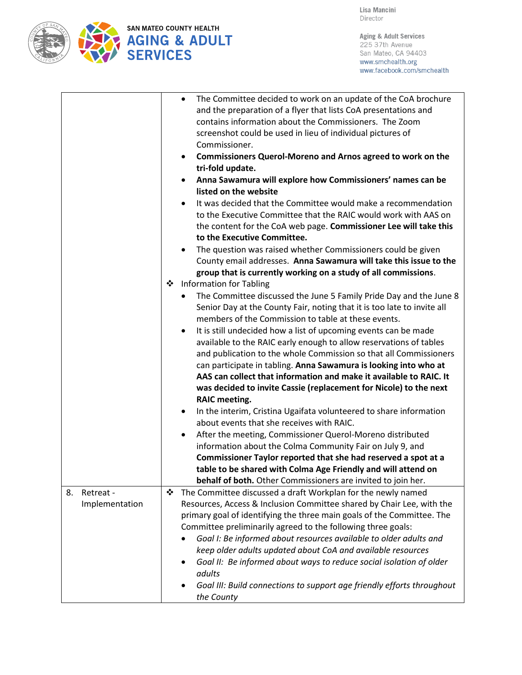

Aging & Adult Services 225 37th Avenue San Mateo, CA 94403 www.smchealth.org www.facebook.com/smchealth

|                 | The Committee decided to work on an update of the CoA brochure<br>$\bullet$<br>and the preparation of a flyer that lists CoA presentations and<br>contains information about the Commissioners. The Zoom<br>screenshot could be used in lieu of individual pictures of<br>Commissioner.<br><b>Commissioners Querol-Moreno and Arnos agreed to work on the</b><br>$\bullet$<br>tri-fold update.<br>Anna Sawamura will explore how Commissioners' names can be<br>$\bullet$<br>listed on the website<br>It was decided that the Committee would make a recommendation |  |
|-----------------|---------------------------------------------------------------------------------------------------------------------------------------------------------------------------------------------------------------------------------------------------------------------------------------------------------------------------------------------------------------------------------------------------------------------------------------------------------------------------------------------------------------------------------------------------------------------|--|
|                 | to the Executive Committee that the RAIC would work with AAS on<br>the content for the CoA web page. Commissioner Lee will take this<br>to the Executive Committee.                                                                                                                                                                                                                                                                                                                                                                                                 |  |
|                 | The question was raised whether Commissioners could be given<br>County email addresses. Anna Sawamura will take this issue to the<br>group that is currently working on a study of all commissions.                                                                                                                                                                                                                                                                                                                                                                 |  |
|                 | <b>Information for Tabling</b>                                                                                                                                                                                                                                                                                                                                                                                                                                                                                                                                      |  |
|                 | The Committee discussed the June 5 Family Pride Day and the June 8<br>Senior Day at the County Fair, noting that it is too late to invite all<br>members of the Commission to table at these events.                                                                                                                                                                                                                                                                                                                                                                |  |
|                 | It is still undecided how a list of upcoming events can be made<br>$\bullet$<br>available to the RAIC early enough to allow reservations of tables<br>and publication to the whole Commission so that all Commissioners<br>can participate in tabling. Anna Sawamura is looking into who at<br>AAS can collect that information and make it available to RAIC. It<br>was decided to invite Cassie (replacement for Nicole) to the next<br><b>RAIC meeting.</b>                                                                                                      |  |
|                 | In the interim, Cristina Ugaifata volunteered to share information<br>$\bullet$<br>about events that she receives with RAIC.                                                                                                                                                                                                                                                                                                                                                                                                                                        |  |
|                 | After the meeting, Commissioner Querol-Moreno distributed<br>information about the Colma Community Fair on July 9, and<br>Commissioner Taylor reported that she had reserved a spot at a                                                                                                                                                                                                                                                                                                                                                                            |  |
|                 | table to be shared with Colma Age Friendly and will attend on                                                                                                                                                                                                                                                                                                                                                                                                                                                                                                       |  |
|                 | behalf of both. Other Commissioners are invited to join her.                                                                                                                                                                                                                                                                                                                                                                                                                                                                                                        |  |
| 8.<br>Retreat - | The Committee discussed a draft Workplan for the newly named                                                                                                                                                                                                                                                                                                                                                                                                                                                                                                        |  |
| Implementation  | Resources, Access & Inclusion Committee shared by Chair Lee, with the<br>primary goal of identifying the three main goals of the Committee. The                                                                                                                                                                                                                                                                                                                                                                                                                     |  |
|                 | Committee preliminarily agreed to the following three goals:                                                                                                                                                                                                                                                                                                                                                                                                                                                                                                        |  |
|                 | Goal I: Be informed about resources available to older adults and                                                                                                                                                                                                                                                                                                                                                                                                                                                                                                   |  |
|                 | keep older adults updated about CoA and available resources                                                                                                                                                                                                                                                                                                                                                                                                                                                                                                         |  |
|                 | Goal II: Be informed about ways to reduce social isolation of older<br>adults                                                                                                                                                                                                                                                                                                                                                                                                                                                                                       |  |
|                 | Goal III: Build connections to support age friendly efforts throughout<br>the County                                                                                                                                                                                                                                                                                                                                                                                                                                                                                |  |